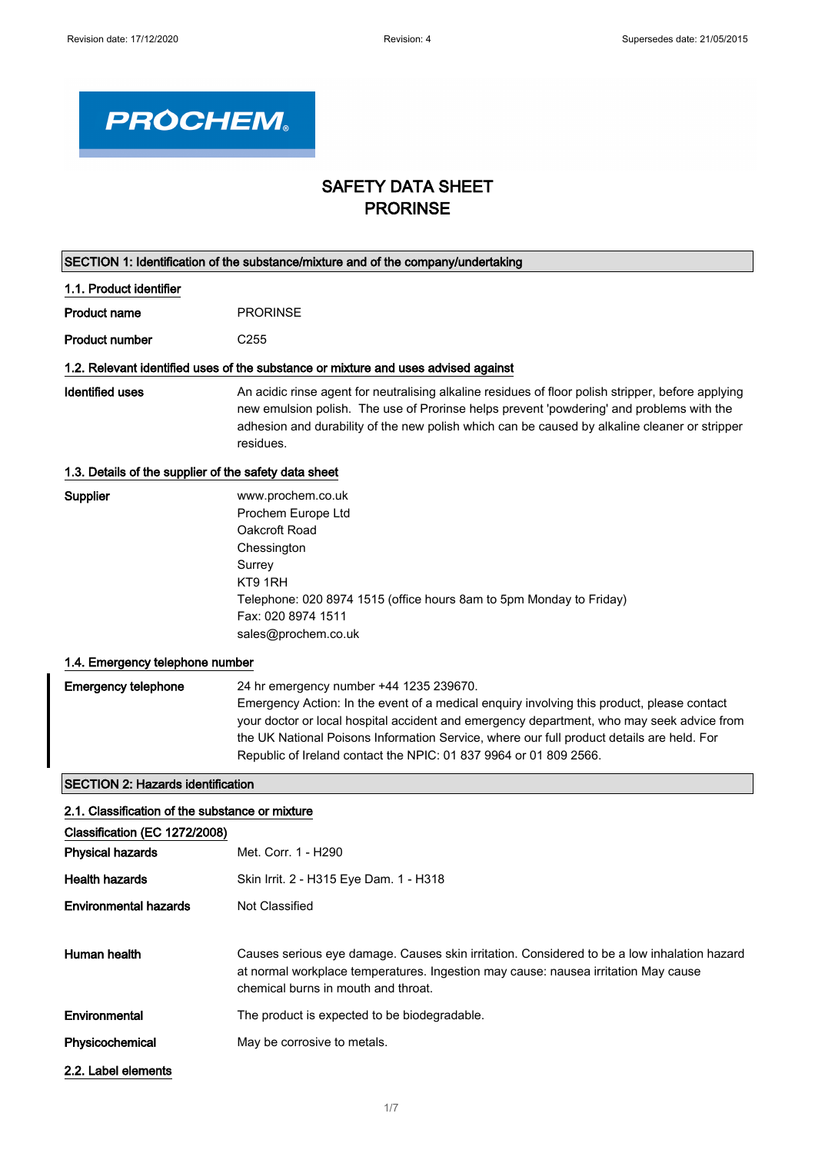

## SAFETY DATA SHEET PRORINSE

| SECTION 1: Identification of the substance/mixture and of the company/undertaking |                                                                                                                                                                                                                                                                                                                                                                                                      |
|-----------------------------------------------------------------------------------|------------------------------------------------------------------------------------------------------------------------------------------------------------------------------------------------------------------------------------------------------------------------------------------------------------------------------------------------------------------------------------------------------|
| 1.1. Product identifier                                                           |                                                                                                                                                                                                                                                                                                                                                                                                      |
| <b>Product name</b>                                                               | <b>PRORINSE</b>                                                                                                                                                                                                                                                                                                                                                                                      |
| <b>Product number</b>                                                             | C <sub>255</sub>                                                                                                                                                                                                                                                                                                                                                                                     |
|                                                                                   | 1.2. Relevant identified uses of the substance or mixture and uses advised against                                                                                                                                                                                                                                                                                                                   |
| <b>Identified uses</b>                                                            | An acidic rinse agent for neutralising alkaline residues of floor polish stripper, before applying<br>new emulsion polish. The use of Prorinse helps prevent 'powdering' and problems with the<br>adhesion and durability of the new polish which can be caused by alkaline cleaner or stripper<br>residues.                                                                                         |
| 1.3. Details of the supplier of the safety data sheet                             |                                                                                                                                                                                                                                                                                                                                                                                                      |
| Supplier                                                                          | www.prochem.co.uk<br>Prochem Europe Ltd<br>Oakcroft Road<br>Chessington<br>Surrey<br>KT9 1RH<br>Telephone: 020 8974 1515 (office hours 8am to 5pm Monday to Friday)<br>Fax: 020 8974 1511<br>sales@prochem.co.uk                                                                                                                                                                                     |
| 1.4. Emergency telephone number                                                   |                                                                                                                                                                                                                                                                                                                                                                                                      |
| <b>Emergency telephone</b>                                                        | 24 hr emergency number +44 1235 239670.<br>Emergency Action: In the event of a medical enquiry involving this product, please contact<br>your doctor or local hospital accident and emergency department, who may seek advice from<br>the UK National Poisons Information Service, where our full product details are held. For<br>Republic of Ireland contact the NPIC: 01 837 9964 or 01 809 2566. |
| <b>SECTION 2: Hazards identification</b>                                          |                                                                                                                                                                                                                                                                                                                                                                                                      |
| 2.1. Classification of the substance or mixture                                   |                                                                                                                                                                                                                                                                                                                                                                                                      |
| Classification (EC 1272/2008)                                                     |                                                                                                                                                                                                                                                                                                                                                                                                      |
| <b>Physical hazards</b>                                                           | Met. Corr. 1 - H290                                                                                                                                                                                                                                                                                                                                                                                  |
| <b>Health hazards</b>                                                             | Skin Irrit. 2 - H315 Eye Dam. 1 - H318                                                                                                                                                                                                                                                                                                                                                               |
| <b>Environmental hazards</b>                                                      | Not Classified                                                                                                                                                                                                                                                                                                                                                                                       |
| Human health                                                                      | Causes serious eye damage. Causes skin irritation. Considered to be a low inhalation hazard<br>at normal workplace temperatures. Ingestion may cause: nausea irritation May cause<br>chemical burns in mouth and throat.                                                                                                                                                                             |
| Environmental                                                                     | The product is expected to be biodegradable.                                                                                                                                                                                                                                                                                                                                                         |
| Physicochemical                                                                   | May be corrosive to metals.                                                                                                                                                                                                                                                                                                                                                                          |
| 2.2. Label elements                                                               |                                                                                                                                                                                                                                                                                                                                                                                                      |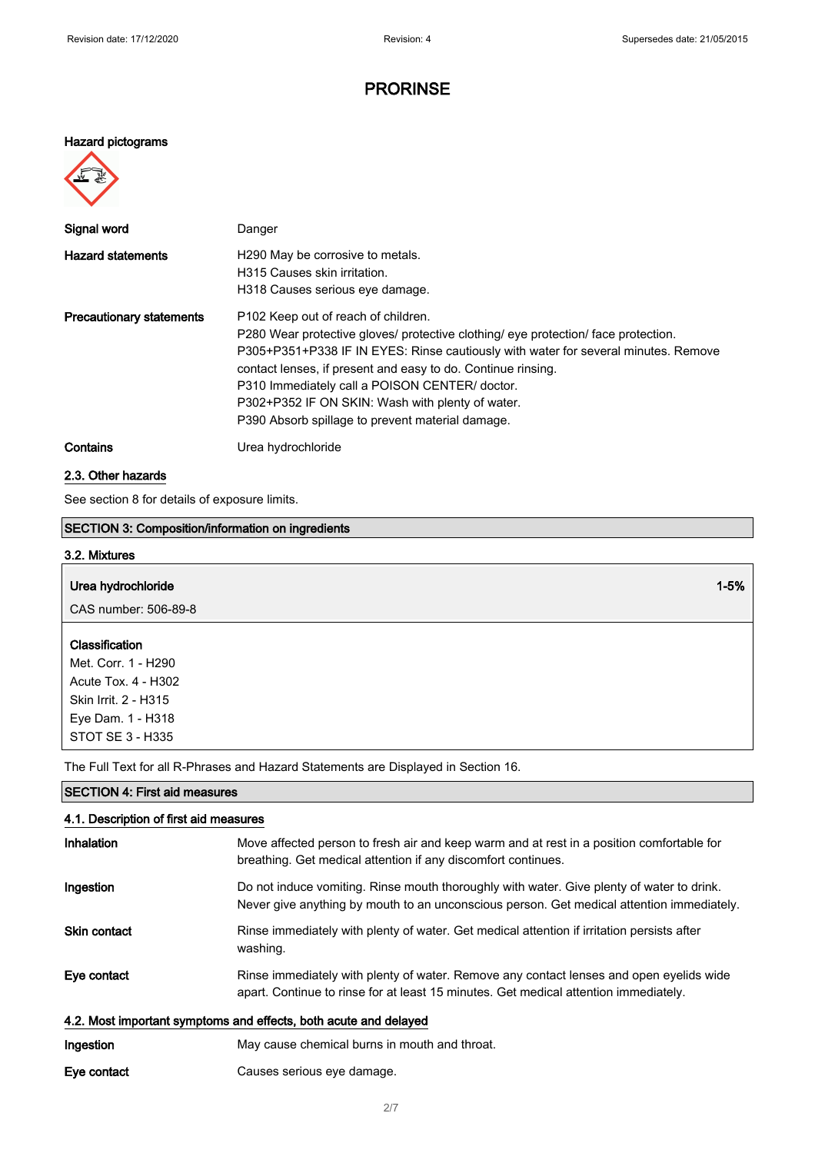### Hazard pictograms



| Signal word                     | Danger                                                                                                                                                                                                                                                                                                                                                                                                                                                |
|---------------------------------|-------------------------------------------------------------------------------------------------------------------------------------------------------------------------------------------------------------------------------------------------------------------------------------------------------------------------------------------------------------------------------------------------------------------------------------------------------|
| <b>Hazard statements</b>        | H <sub>290</sub> May be corrosive to metals.<br>H315 Causes skin irritation.<br>H318 Causes serious eye damage.                                                                                                                                                                                                                                                                                                                                       |
| <b>Precautionary statements</b> | P <sub>102</sub> Keep out of reach of children.<br>P280 Wear protective gloves/ protective clothing/ eye protection/ face protection.<br>P305+P351+P338 IF IN EYES: Rinse cautiously with water for several minutes. Remove<br>contact lenses, if present and easy to do. Continue rinsing.<br>P310 Immediately call a POISON CENTER/ doctor.<br>P302+P352 IF ON SKIN: Wash with plenty of water.<br>P390 Absorb spillage to prevent material damage. |
| Contains                        | Urea hydrochloride                                                                                                                                                                                                                                                                                                                                                                                                                                    |

### 2.3. Other hazards

STOT SE 3 - H335

SECTION 4: First aid measures

See section 8 for details of exposure limits.

### SECTION 3: Composition/information on ingredients

| 3.2. Mixtures                                |          |  |
|----------------------------------------------|----------|--|
| Urea hydrochloride                           | $1 - 5%$ |  |
| CAS number: 506-89-8                         |          |  |
| <b>Classification</b><br>Met. Corr. 1 - H290 |          |  |
| Acute Tox. 4 - H302                          |          |  |
| Skin Irrit. 2 - H315                         |          |  |
| Eye Dam. 1 - H318                            |          |  |

The Full Text for all R-Phrases and Hazard Statements are Displayed in Section 16.

| 4.1. Description of first aid measures                           |                                                                                                                                                                                        |
|------------------------------------------------------------------|----------------------------------------------------------------------------------------------------------------------------------------------------------------------------------------|
| Inhalation                                                       | Move affected person to fresh air and keep warm and at rest in a position comfortable for<br>breathing. Get medical attention if any discomfort continues.                             |
| Ingestion                                                        | Do not induce vomiting. Rinse mouth thoroughly with water. Give plenty of water to drink.<br>Never give anything by mouth to an unconscious person. Get medical attention immediately. |
| <b>Skin contact</b>                                              | Rinse immediately with plenty of water. Get medical attention if irritation persists after<br>washing.                                                                                 |
| Eye contact                                                      | Rinse immediately with plenty of water. Remove any contact lenses and open eyelids wide<br>apart. Continue to rinse for at least 15 minutes. Get medical attention immediately.        |
| 4.2. Most important symptoms and effects, both acute and delayed |                                                                                                                                                                                        |
| Ingestion                                                        | May cause chemical burns in mouth and throat.                                                                                                                                          |

Eye contact Causes serious eye damage.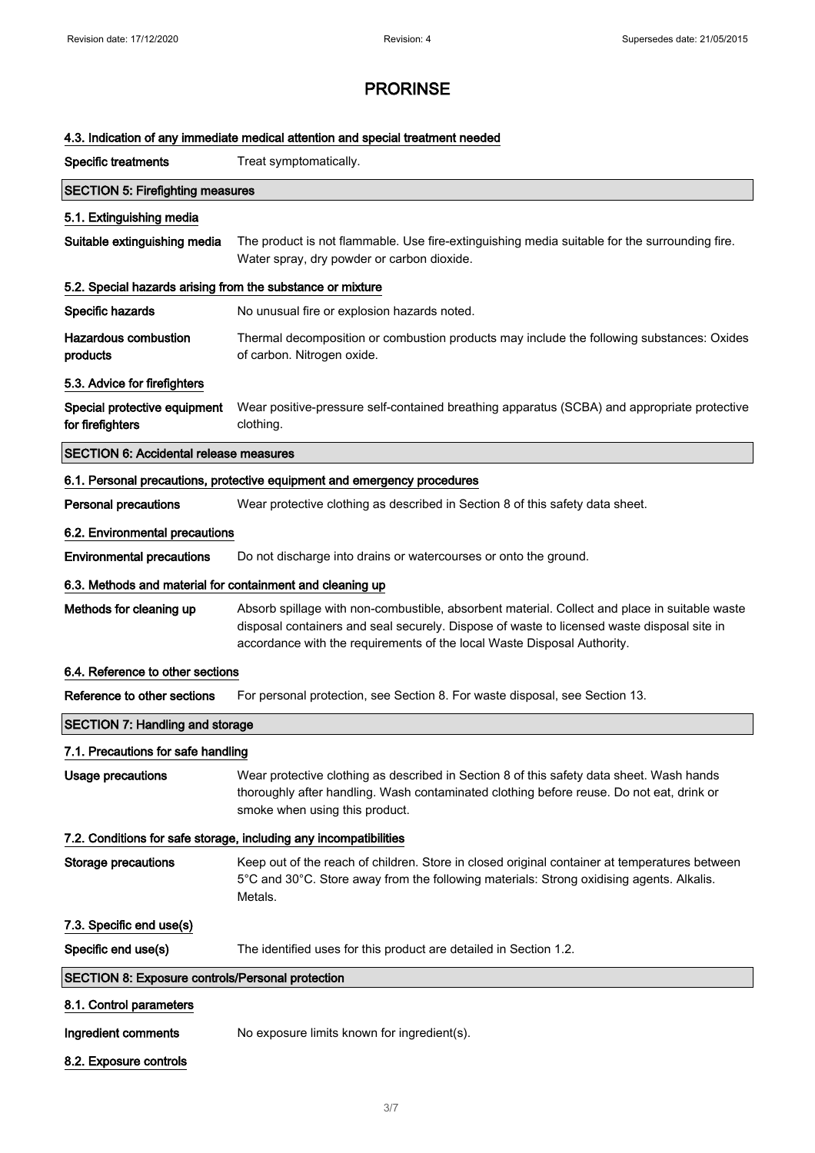### 4.3. Indication of any immediate medical attention and special treatment needed

| <b>Specific treatments</b>                                 | Treat symptomatically.                                                                                                                                                                                                                                                 |
|------------------------------------------------------------|------------------------------------------------------------------------------------------------------------------------------------------------------------------------------------------------------------------------------------------------------------------------|
| <b>SECTION 5: Firefighting measures</b>                    |                                                                                                                                                                                                                                                                        |
| 5.1. Extinguishing media                                   |                                                                                                                                                                                                                                                                        |
| Suitable extinguishing media                               | The product is not flammable. Use fire-extinguishing media suitable for the surrounding fire.<br>Water spray, dry powder or carbon dioxide.                                                                                                                            |
| 5.2. Special hazards arising from the substance or mixture |                                                                                                                                                                                                                                                                        |
| Specific hazards                                           | No unusual fire or explosion hazards noted.                                                                                                                                                                                                                            |
| <b>Hazardous combustion</b><br>products                    | Thermal decomposition or combustion products may include the following substances: Oxides<br>of carbon. Nitrogen oxide.                                                                                                                                                |
| 5.3. Advice for firefighters                               |                                                                                                                                                                                                                                                                        |
| Special protective equipment<br>for firefighters           | Wear positive-pressure self-contained breathing apparatus (SCBA) and appropriate protective<br>clothing.                                                                                                                                                               |
| <b>SECTION 6: Accidental release measures</b>              |                                                                                                                                                                                                                                                                        |
|                                                            | 6.1. Personal precautions, protective equipment and emergency procedures                                                                                                                                                                                               |
| <b>Personal precautions</b>                                | Wear protective clothing as described in Section 8 of this safety data sheet.                                                                                                                                                                                          |
| 6.2. Environmental precautions                             |                                                                                                                                                                                                                                                                        |
| <b>Environmental precautions</b>                           | Do not discharge into drains or watercourses or onto the ground.                                                                                                                                                                                                       |
| 6.3. Methods and material for containment and cleaning up  |                                                                                                                                                                                                                                                                        |
| Methods for cleaning up                                    | Absorb spillage with non-combustible, absorbent material. Collect and place in suitable waste<br>disposal containers and seal securely. Dispose of waste to licensed waste disposal site in<br>accordance with the requirements of the local Waste Disposal Authority. |
| 6.4. Reference to other sections                           |                                                                                                                                                                                                                                                                        |
| Reference to other sections                                | For personal protection, see Section 8. For waste disposal, see Section 13.                                                                                                                                                                                            |
| <b>SECTION 7: Handling and storage</b>                     |                                                                                                                                                                                                                                                                        |
| 7.1. Precautions for safe handling                         |                                                                                                                                                                                                                                                                        |
| <b>Usage precautions</b>                                   | Wear protective clothing as described in Section 8 of this safety data sheet. Wash hands<br>thoroughly after handling. Wash contaminated clothing before reuse. Do not eat, drink or<br>smoke when using this product.                                                 |
|                                                            | 7.2. Conditions for safe storage, including any incompatibilities                                                                                                                                                                                                      |
| <b>Storage precautions</b>                                 | Keep out of the reach of children. Store in closed original container at temperatures between<br>5°C and 30°C. Store away from the following materials: Strong oxidising agents. Alkalis.<br>Metals.                                                                   |
| 7.3. Specific end use(s)                                   |                                                                                                                                                                                                                                                                        |
| Specific end use(s)                                        | The identified uses for this product are detailed in Section 1.2.                                                                                                                                                                                                      |
| <b>SECTION 8: Exposure controls/Personal protection</b>    |                                                                                                                                                                                                                                                                        |
| 8.1. Control parameters                                    |                                                                                                                                                                                                                                                                        |
| Ingredient comments                                        | No exposure limits known for ingredient(s).                                                                                                                                                                                                                            |
| 8.2. Exposure controls                                     |                                                                                                                                                                                                                                                                        |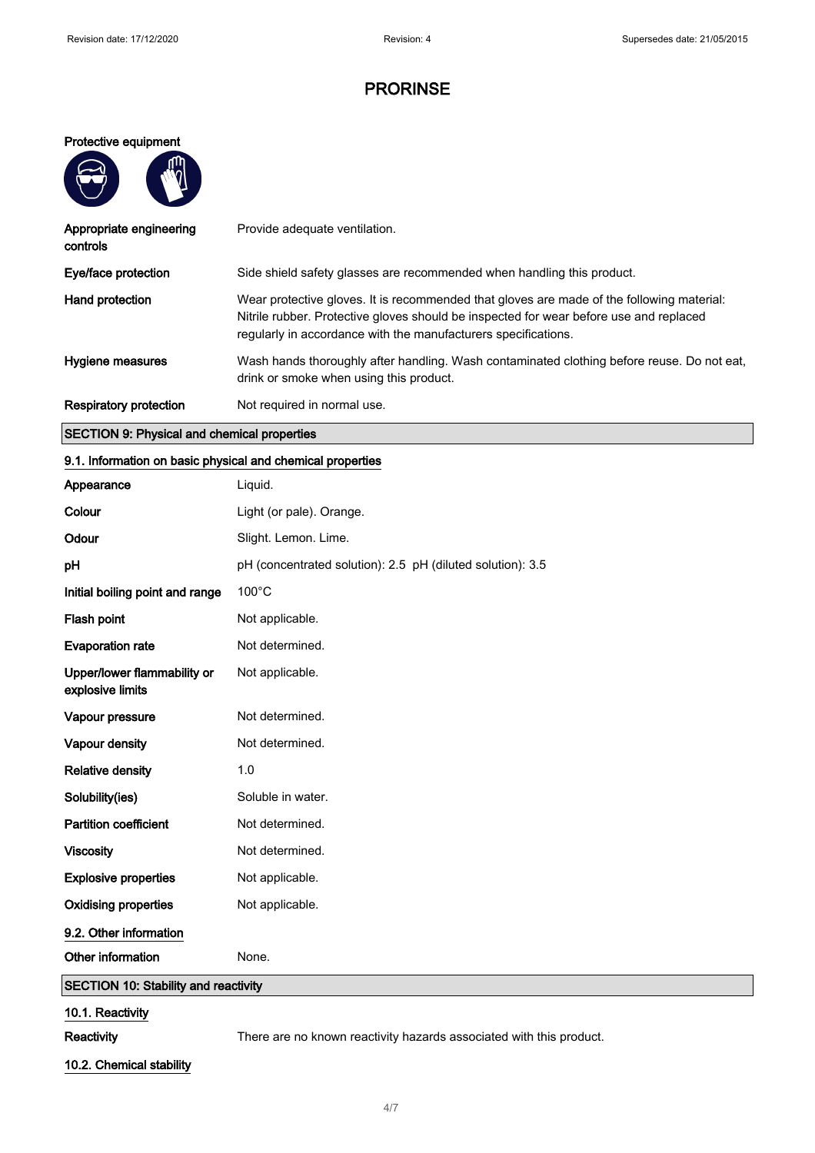### Protective equipment

 $m$ 

A

| Appropriate engineering<br>controls | Provide adequate ventilation.                                                                                                                                                                                                                         |
|-------------------------------------|-------------------------------------------------------------------------------------------------------------------------------------------------------------------------------------------------------------------------------------------------------|
| Eye/face protection                 | Side shield safety glasses are recommended when handling this product.                                                                                                                                                                                |
| Hand protection                     | Wear protective gloves. It is recommended that gloves are made of the following material:<br>Nitrile rubber. Protective gloves should be inspected for wear before use and replaced<br>regularly in accordance with the manufacturers specifications. |
| Hygiene measures                    | Wash hands thoroughly after handling. Wash contaminated clothing before reuse. Do not eat,<br>drink or smoke when using this product.                                                                                                                 |
| Respiratory protection              | Not required in normal use.                                                                                                                                                                                                                           |

## SECTION 9: Physical and chemical properties

## 9.1. Information on basic physical and chemical properties

| Appearance                                      | Liquid.                                                             |
|-------------------------------------------------|---------------------------------------------------------------------|
| Colour                                          | Light (or pale). Orange.                                            |
| Odour                                           | Slight. Lemon. Lime.                                                |
| pH                                              | pH (concentrated solution): 2.5 pH (diluted solution): 3.5          |
| Initial boiling point and range                 | 100°C                                                               |
| Flash point                                     | Not applicable.                                                     |
| <b>Evaporation rate</b>                         | Not determined.                                                     |
| Upper/lower flammability or<br>explosive limits | Not applicable.                                                     |
| Vapour pressure                                 | Not determined.                                                     |
| Vapour density                                  | Not determined.                                                     |
| <b>Relative density</b>                         | 1.0                                                                 |
| Solubility(ies)                                 | Soluble in water.                                                   |
| <b>Partition coefficient</b>                    | Not determined.                                                     |
| <b>Viscosity</b>                                | Not determined.                                                     |
| <b>Explosive properties</b>                     | Not applicable.                                                     |
| <b>Oxidising properties</b>                     | Not applicable.                                                     |
| 9.2. Other information                          |                                                                     |
| Other information                               | None.                                                               |
| <b>SECTION 10: Stability and reactivity</b>     |                                                                     |
| 10.1. Reactivity                                |                                                                     |
| Reactivity                                      | There are no known reactivity hazards associated with this product. |

10.2. Chemical stability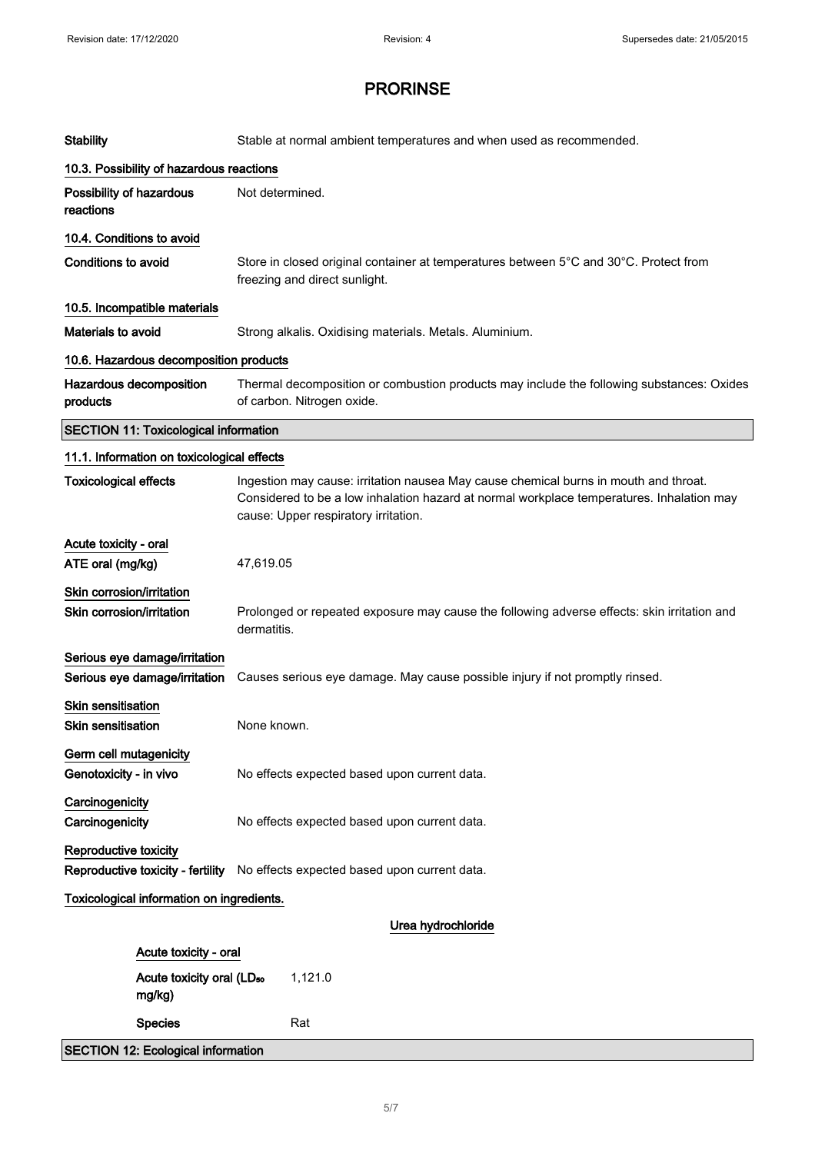| <b>Stability</b>                                               | Stable at normal ambient temperatures and when used as recommended.                                                                                                                                                       |  |
|----------------------------------------------------------------|---------------------------------------------------------------------------------------------------------------------------------------------------------------------------------------------------------------------------|--|
|                                                                | 10.3. Possibility of hazardous reactions                                                                                                                                                                                  |  |
| Possibility of hazardous<br>reactions                          | Not determined.                                                                                                                                                                                                           |  |
| 10.4. Conditions to avoid                                      |                                                                                                                                                                                                                           |  |
| <b>Conditions to avoid</b>                                     | Store in closed original container at temperatures between 5°C and 30°C. Protect from<br>freezing and direct sunlight.                                                                                                    |  |
| 10.5. Incompatible materials                                   |                                                                                                                                                                                                                           |  |
| <b>Materials to avoid</b>                                      | Strong alkalis. Oxidising materials. Metals. Aluminium.                                                                                                                                                                   |  |
|                                                                | 10.6. Hazardous decomposition products                                                                                                                                                                                    |  |
| Hazardous decomposition<br>products                            | Thermal decomposition or combustion products may include the following substances: Oxides<br>of carbon. Nitrogen oxide.                                                                                                   |  |
| <b>SECTION 11: Toxicological information</b>                   |                                                                                                                                                                                                                           |  |
| 11.1. Information on toxicological effects                     |                                                                                                                                                                                                                           |  |
| <b>Toxicological effects</b>                                   | Ingestion may cause: irritation nausea May cause chemical burns in mouth and throat.<br>Considered to be a low inhalation hazard at normal workplace temperatures. Inhalation may<br>cause: Upper respiratory irritation. |  |
| Acute toxicity - oral                                          |                                                                                                                                                                                                                           |  |
| ATE oral (mg/kg)                                               | 47,619.05                                                                                                                                                                                                                 |  |
| Skin corrosion/irritation<br>Skin corrosion/irritation         | Prolonged or repeated exposure may cause the following adverse effects: skin irritation and<br>dermatitis.                                                                                                                |  |
| Serious eye damage/irritation<br>Serious eye damage/irritation | Causes serious eye damage. May cause possible injury if not promptly rinsed.                                                                                                                                              |  |
| Skin sensitisation<br><b>Skin sensitisation</b>                | None known.                                                                                                                                                                                                               |  |
| Germ cell mutagenicity<br>Genotoxicity - in vivo               | No effects expected based upon current data.                                                                                                                                                                              |  |
| Carcinogenicity<br>Carcinogenicity                             | No effects expected based upon current data.                                                                                                                                                                              |  |
| Reproductive toxicity<br>Reproductive toxicity - fertility     | No effects expected based upon current data.                                                                                                                                                                              |  |
| Toxicological information on ingredients.                      |                                                                                                                                                                                                                           |  |
|                                                                | Urea hydrochloride                                                                                                                                                                                                        |  |
| Acute toxicity - oral                                          |                                                                                                                                                                                                                           |  |
| Acute toxicity oral (LD <sub>50</sub><br>mg/kg)                | 1,121.0                                                                                                                                                                                                                   |  |
| <b>Species</b>                                                 | Rat                                                                                                                                                                                                                       |  |
| <b>SECTION 12: Ecological information</b>                      |                                                                                                                                                                                                                           |  |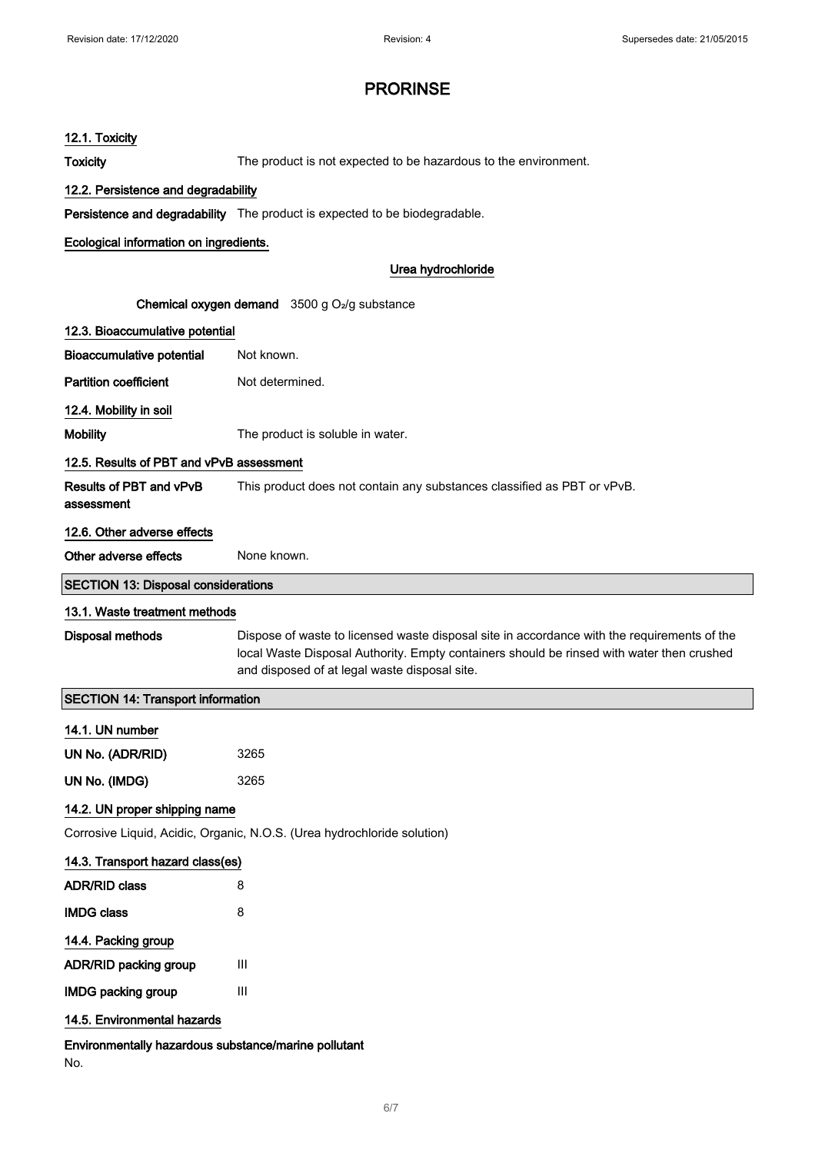| 12.1. Toxicity                                                                                        |                                                                                                                                                                                                                                           |  |
|-------------------------------------------------------------------------------------------------------|-------------------------------------------------------------------------------------------------------------------------------------------------------------------------------------------------------------------------------------------|--|
| <b>Toxicity</b>                                                                                       | The product is not expected to be hazardous to the environment.                                                                                                                                                                           |  |
| 12.2. Persistence and degradability                                                                   |                                                                                                                                                                                                                                           |  |
|                                                                                                       | Persistence and degradability The product is expected to be biodegradable.                                                                                                                                                                |  |
| Ecological information on ingredients.                                                                |                                                                                                                                                                                                                                           |  |
|                                                                                                       | Urea hydrochloride                                                                                                                                                                                                                        |  |
|                                                                                                       |                                                                                                                                                                                                                                           |  |
| <b>Chemical oxygen demand</b> $3500$ g O <sub>2</sub> /g substance<br>12.3. Bioaccumulative potential |                                                                                                                                                                                                                                           |  |
| <b>Bioaccumulative potential</b>                                                                      | Not known.                                                                                                                                                                                                                                |  |
| <b>Partition coefficient</b>                                                                          | Not determined.                                                                                                                                                                                                                           |  |
| 12.4. Mobility in soil                                                                                |                                                                                                                                                                                                                                           |  |
| <b>Mobility</b>                                                                                       | The product is soluble in water.                                                                                                                                                                                                          |  |
| 12.5. Results of PBT and vPvB assessment                                                              |                                                                                                                                                                                                                                           |  |
| Results of PBT and vPvB<br>assessment                                                                 | This product does not contain any substances classified as PBT or vPvB.                                                                                                                                                                   |  |
| 12.6. Other adverse effects                                                                           |                                                                                                                                                                                                                                           |  |
| Other adverse effects                                                                                 | None known.                                                                                                                                                                                                                               |  |
| <b>SECTION 13: Disposal considerations</b>                                                            |                                                                                                                                                                                                                                           |  |
| 13.1. Waste treatment methods                                                                         |                                                                                                                                                                                                                                           |  |
| <b>Disposal methods</b>                                                                               | Dispose of waste to licensed waste disposal site in accordance with the requirements of the<br>local Waste Disposal Authority. Empty containers should be rinsed with water then crushed<br>and disposed of at legal waste disposal site. |  |
| <b>SECTION 14: Transport information</b>                                                              |                                                                                                                                                                                                                                           |  |
| 14.1. UN number                                                                                       |                                                                                                                                                                                                                                           |  |
| UN No. (ADR/RID)                                                                                      | 3265                                                                                                                                                                                                                                      |  |
| UN No. (IMDG)                                                                                         | 3265                                                                                                                                                                                                                                      |  |
| 14.2. UN proper shipping name                                                                         |                                                                                                                                                                                                                                           |  |
|                                                                                                       | Corrosive Liquid, Acidic, Organic, N.O.S. (Urea hydrochloride solution)                                                                                                                                                                   |  |
| 14.3. Transport hazard class(es)                                                                      |                                                                                                                                                                                                                                           |  |
| <b>ADR/RID class</b>                                                                                  | 8                                                                                                                                                                                                                                         |  |
| <b>IMDG class</b>                                                                                     | 8                                                                                                                                                                                                                                         |  |
| 14.4. Packing group                                                                                   |                                                                                                                                                                                                                                           |  |
| ADR/RID packing group                                                                                 | Ш                                                                                                                                                                                                                                         |  |
| <b>IMDG packing group</b>                                                                             | Ш                                                                                                                                                                                                                                         |  |
| 14.5. Environmental hazards                                                                           |                                                                                                                                                                                                                                           |  |
| Environmentally hazardous substance/marine pollutant<br>No.                                           |                                                                                                                                                                                                                                           |  |